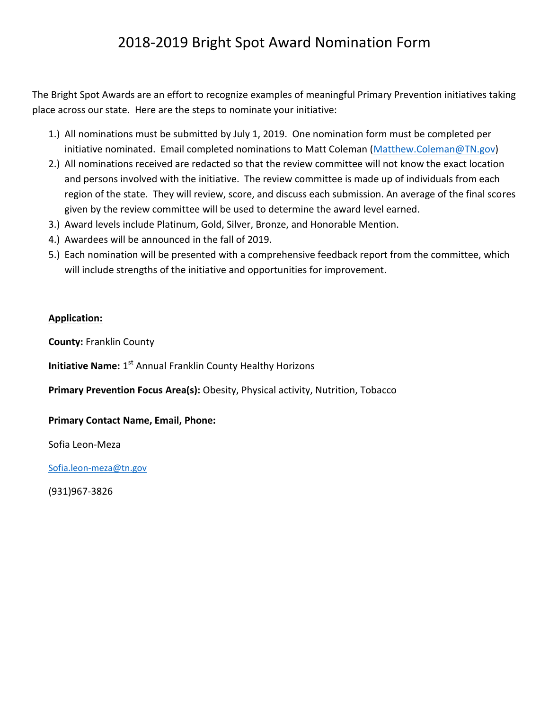# 2018-2019 Bright Spot Award Nomination Form

The Bright Spot Awards are an effort to recognize examples of meaningful Primary Prevention initiatives taking place across our state. Here are the steps to nominate your initiative:

- 1.) All nominations must be submitted by July 1, 2019. One nomination form must be completed per initiative nominated. Email completed nominations to Matt Coleman [\(Matthew.Coleman@TN.gov\)](mailto:Matthew.Coleman@TN.gov)
- 2.) All nominations received are redacted so that the review committee will not know the exact location and persons involved with the initiative. The review committee is made up of individuals from each region of the state. They will review, score, and discuss each submission. An average of the final scores given by the review committee will be used to determine the award level earned.
- 3.) Award levels include Platinum, Gold, Silver, Bronze, and Honorable Mention.
- 4.) Awardees will be announced in the fall of 2019.
- 5.) Each nomination will be presented with a comprehensive feedback report from the committee, which will include strengths of the initiative and opportunities for improvement.

#### **Application:**

**County:** Franklin County

**Initiative Name:** 1<sup>st</sup> Annual Franklin County Healthy Horizons

**Primary Prevention Focus Area(s):** Obesity, Physical activity, Nutrition, Tobacco

#### **Primary Contact Name, Email, Phone:**

Sofia Leon-Meza

[Sofia.leon-meza@tn.gov](mailto:Sofia.leon-meza@tn.gov)

(931)967-3826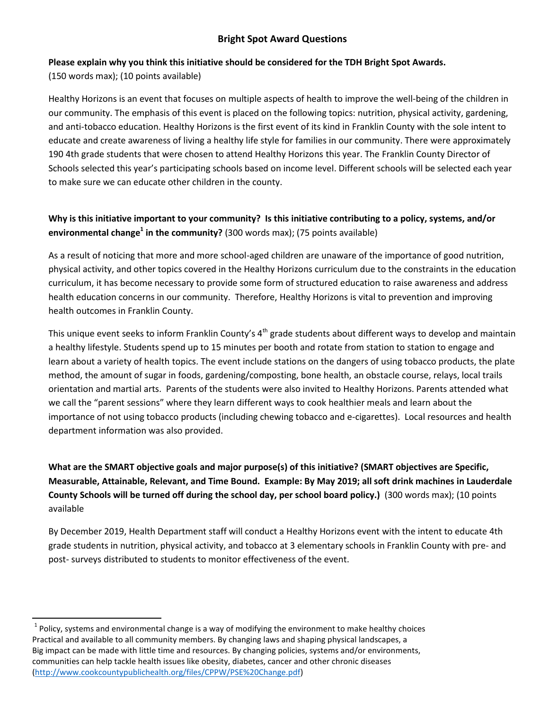### **Bright Spot Award Questions**

#### **Please explain why you think this initiative should be considered for the TDH Bright Spot Awards.**

(150 words max); (10 points available)

l

Healthy Horizons is an event that focuses on multiple aspects of health to improve the well-being of the children in our community. The emphasis of this event is placed on the following topics: nutrition, physical activity, gardening, and anti-tobacco education. Healthy Horizons is the first event of its kind in Franklin County with the sole intent to educate and create awareness of living a healthy life style for families in our community. There were approximately 190 4th grade students that were chosen to attend Healthy Horizons this year. The Franklin County Director of Schools selected this year's participating schools based on income level. Different schools will be selected each year to make sure we can educate other children in the county.

## **Why is this initiative important to your community? Is this initiative contributing to a policy, systems, and/or environmental change<sup>1</sup> in the community?** (300 words max); (75 points available)

As a result of noticing that more and more school-aged children are unaware of the importance of good nutrition, physical activity, and other topics covered in the Healthy Horizons curriculum due to the constraints in the education curriculum, it has become necessary to provide some form of structured education to raise awareness and address health education concerns in our community. Therefore, Healthy Horizons is vital to prevention and improving health outcomes in Franklin County.

This unique event seeks to inform Franklin County's 4<sup>th</sup> grade students about different ways to develop and maintain a healthy lifestyle. Students spend up to 15 minutes per booth and rotate from station to station to engage and learn about a variety of health topics. The event include stations on the dangers of using tobacco products, the plate method, the amount of sugar in foods, gardening/composting, bone health, an obstacle course, relays, local trails orientation and martial arts. Parents of the students were also invited to Healthy Horizons. Parents attended what we call the "parent sessions" where they learn different ways to cook healthier meals and learn about the importance of not using tobacco products (including chewing tobacco and e-cigarettes). Local resources and health department information was also provided.

**What are the SMART objective goals and major purpose(s) of this initiative? (SMART objectives are Specific, Measurable, Attainable, Relevant, and Time Bound. Example: By May 2019; all soft drink machines in Lauderdale County Schools will be turned off during the school day, per school board policy.)** (300 words max); (10 points available

By December 2019, Health Department staff will conduct a Healthy Horizons event with the intent to educate 4th grade students in nutrition, physical activity, and tobacco at 3 elementary schools in Franklin County with pre- and post- surveys distributed to students to monitor effectiveness of the event.

 $^{1}$  Policy, systems and environmental change is a way of modifying the environment to make healthy choices Practical and available to all community members. By changing laws and shaping physical landscapes, a Big impact can be made with little time and resources. By changing policies, systems and/or environments, communities can help tackle health issues like obesity, diabetes, cancer and other chronic diseases [\(http://www.cookcountypublichealth.org/files/CPPW/PSE%20Change.pdf\)](http://www.cookcountypublichealth.org/files/CPPW/PSE%20Change.pdf)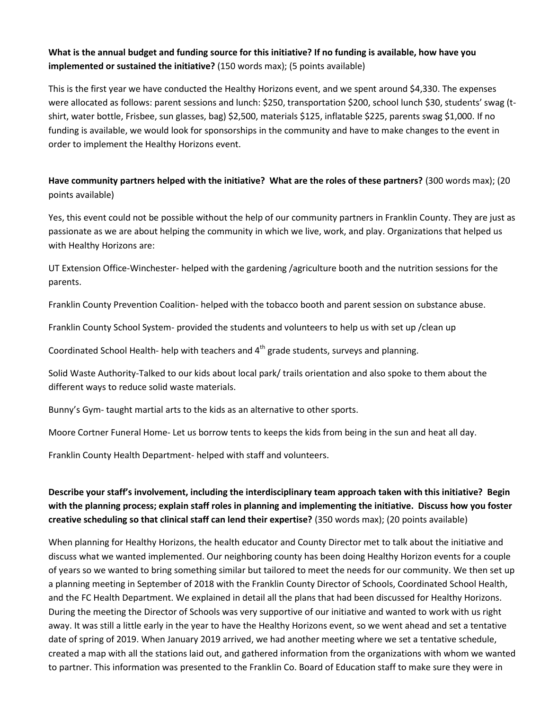#### **What is the annual budget and funding source for this initiative? If no funding is available, how have you implemented or sustained the initiative?** (150 words max); (5 points available)

This is the first year we have conducted the Healthy Horizons event, and we spent around \$4,330. The expenses were allocated as follows: parent sessions and lunch: \$250, transportation \$200, school lunch \$30, students' swag (tshirt, water bottle, Frisbee, sun glasses, bag) \$2,500, materials \$125, inflatable \$225, parents swag \$1,000. If no funding is available, we would look for sponsorships in the community and have to make changes to the event in order to implement the Healthy Horizons event.

#### **Have community partners helped with the initiative? What are the roles of these partners?** (300 words max); (20 points available)

Yes, this event could not be possible without the help of our community partners in Franklin County. They are just as passionate as we are about helping the community in which we live, work, and play. Organizations that helped us with Healthy Horizons are:

UT Extension Office-Winchester- helped with the gardening /agriculture booth and the nutrition sessions for the parents.

Franklin County Prevention Coalition- helped with the tobacco booth and parent session on substance abuse.

Franklin County School System- provided the students and volunteers to help us with set up /clean up

Coordinated School Health- help with teachers and 4<sup>th</sup> grade students, surveys and planning.

Solid Waste Authority-Talked to our kids about local park/ trails orientation and also spoke to them about the different ways to reduce solid waste materials.

Bunny's Gym- taught martial arts to the kids as an alternative to other sports.

Moore Cortner Funeral Home- Let us borrow tents to keeps the kids from being in the sun and heat all day.

Franklin County Health Department- helped with staff and volunteers.

## **Describe your staff's involvement, including the interdisciplinary team approach taken with this initiative? Begin with the planning process; explain staff roles in planning and implementing the initiative. Discuss how you foster creative scheduling so that clinical staff can lend their expertise?** (350 words max); (20 points available)

When planning for Healthy Horizons, the health educator and County Director met to talk about the initiative and discuss what we wanted implemented. Our neighboring county has been doing Healthy Horizon events for a couple of years so we wanted to bring something similar but tailored to meet the needs for our community. We then set up a planning meeting in September of 2018 with the Franklin County Director of Schools, Coordinated School Health, and the FC Health Department. We explained in detail all the plans that had been discussed for Healthy Horizons. During the meeting the Director of Schools was very supportive of our initiative and wanted to work with us right away. It was still a little early in the year to have the Healthy Horizons event, so we went ahead and set a tentative date of spring of 2019. When January 2019 arrived, we had another meeting where we set a tentative schedule, created a map with all the stations laid out, and gathered information from the organizations with whom we wanted to partner. This information was presented to the Franklin Co. Board of Education staff to make sure they were in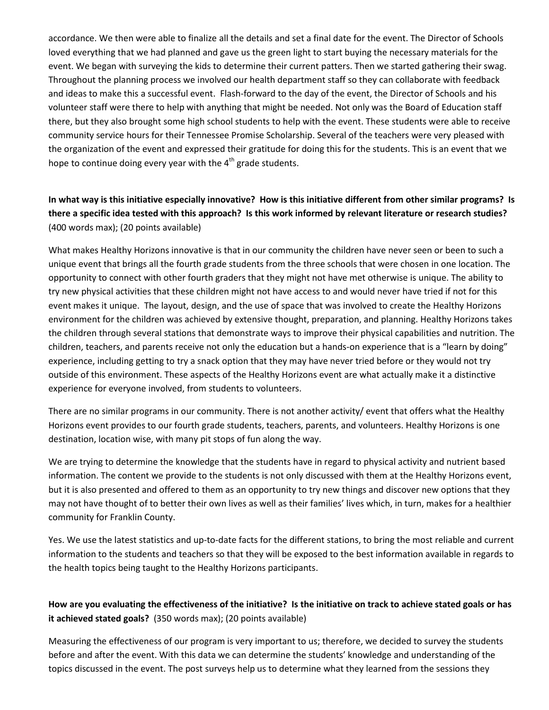accordance. We then were able to finalize all the details and set a final date for the event. The Director of Schools loved everything that we had planned and gave us the green light to start buying the necessary materials for the event. We began with surveying the kids to determine their current patters. Then we started gathering their swag. Throughout the planning process we involved our health department staff so they can collaborate with feedback and ideas to make this a successful event. Flash-forward to the day of the event, the Director of Schools and his volunteer staff were there to help with anything that might be needed. Not only was the Board of Education staff there, but they also brought some high school students to help with the event. These students were able to receive community service hours for their Tennessee Promise Scholarship. Several of the teachers were very pleased with the organization of the event and expressed their gratitude for doing this for the students. This is an event that we hope to continue doing every year with the  $4<sup>th</sup>$  grade students.

**In what way is this initiative especially innovative? How is this initiative different from other similar programs? Is there a specific idea tested with this approach? Is this work informed by relevant literature or research studies?**  (400 words max); (20 points available)

What makes Healthy Horizons innovative is that in our community the children have never seen or been to such a unique event that brings all the fourth grade students from the three schools that were chosen in one location. The opportunity to connect with other fourth graders that they might not have met otherwise is unique. The ability to try new physical activities that these children might not have access to and would never have tried if not for this event makes it unique. The layout, design, and the use of space that was involved to create the Healthy Horizons environment for the children was achieved by extensive thought, preparation, and planning. Healthy Horizons takes the children through several stations that demonstrate ways to improve their physical capabilities and nutrition. The children, teachers, and parents receive not only the education but a hands-on experience that is a "learn by doing" experience, including getting to try a snack option that they may have never tried before or they would not try outside of this environment. These aspects of the Healthy Horizons event are what actually make it a distinctive experience for everyone involved, from students to volunteers.

There are no similar programs in our community. There is not another activity/ event that offers what the Healthy Horizons event provides to our fourth grade students, teachers, parents, and volunteers. Healthy Horizons is one destination, location wise, with many pit stops of fun along the way.

We are trying to determine the knowledge that the students have in regard to physical activity and nutrient based information. The content we provide to the students is not only discussed with them at the Healthy Horizons event, but it is also presented and offered to them as an opportunity to try new things and discover new options that they may not have thought of to better their own lives as well as their families' lives which, in turn, makes for a healthier community for Franklin County.

Yes. We use the latest statistics and up-to-date facts for the different stations, to bring the most reliable and current information to the students and teachers so that they will be exposed to the best information available in regards to the health topics being taught to the Healthy Horizons participants.

### **How are you evaluating the effectiveness of the initiative? Is the initiative on track to achieve stated goals or has it achieved stated goals?** (350 words max); (20 points available)

Measuring the effectiveness of our program is very important to us; therefore, we decided to survey the students before and after the event. With this data we can determine the students' knowledge and understanding of the topics discussed in the event. The post surveys help us to determine what they learned from the sessions they